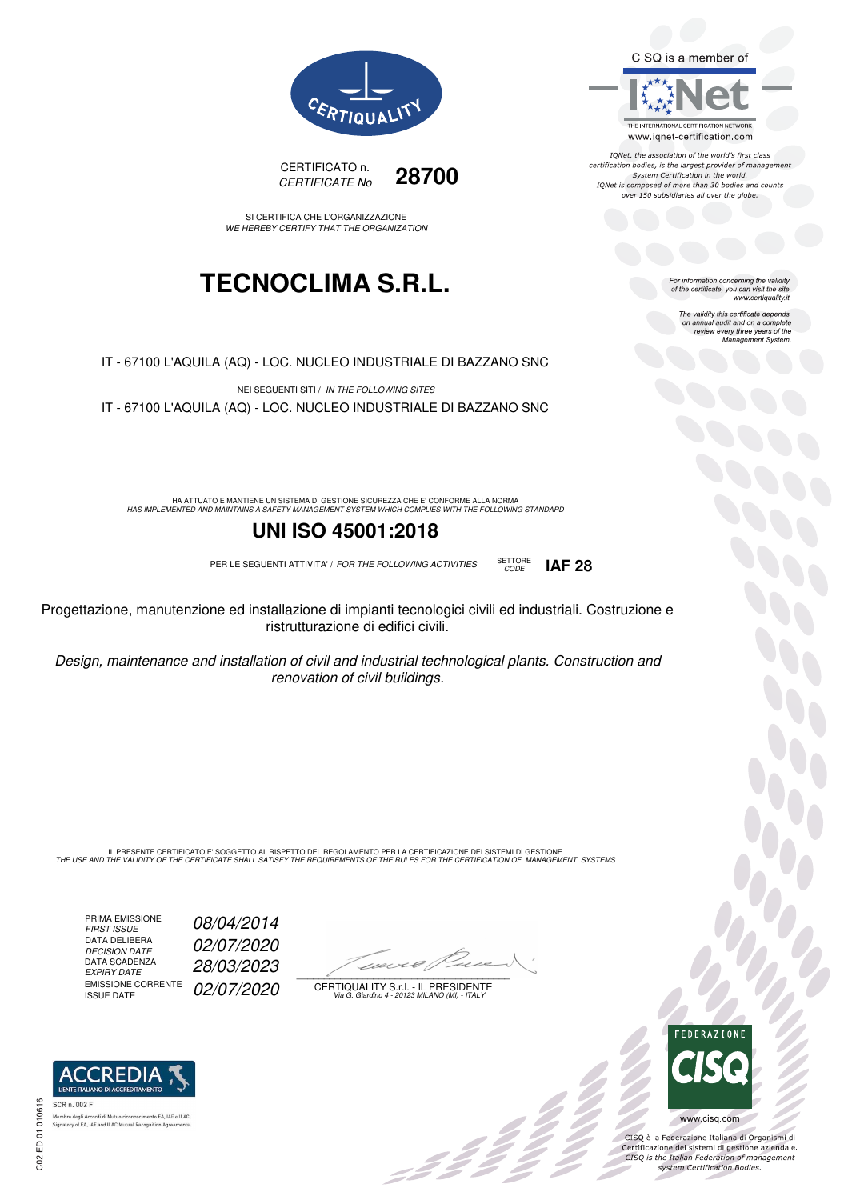CISQ is a member of



IQNet, the association of the world's first class certification bodies, is the largest provider of management System Certification in the world.<br>IQNet is composed of more than 30 bodies and counts over 150 subsidiaries all over the globe.

CODE **IAF 28**

For information concerning the validity<br>of the certificate, you can visit the site www.certiquality.it

> The validity this certificate depends on annual audit and on a complete<br>on annual audit and on a complete<br>review every three years of the<br>Management System.





SI CERTIFICA CHE L'ORGANIZZAZIONE WE HEREBY CERTIFY THAT THE ORGANIZATION

## **TECNOCLIMA S.R.L.**

IT - 67100 L'AQUILA (AQ) - LOC. NUCLEO INDUSTRIALE DI BAZZANO SNC

NEI SEGUENTI SITI / IN THE FOLLOWING SITES IT - 67100 L'AQUILA (AQ) - LOC. NUCLEO INDUSTRIALE DI BAZZANO SNC

HA ATTUATO E MANTIENE UN SISTEMA DI GESTIONE SICUREZZA CHE E' CONFORME ALLA NORMA<br>HAS IMPLEMENTED AND MAINTAINS A SAFETY MANAGEMENT SYSTEM WHICH COMPLIES WITH THE FOLLOWING STANDARD

### **UNI ISO 45001:2018**

PER LE SEGUENTI ATTIVITA' / FOR THE FOLLOWING ACTIVITIES SETTORE

Progettazione, manutenzione ed installazione di impianti tecnologici civili ed industriali. Costruzione e ristrutturazione di edifici civili.

Design, maintenance and installation of civil and industrial technological plants. Construction and renovation of civil buildings.

IL PRESENTE CERTIFICATO E' SOGGETTO AL RISPETTO DEL REGOLAMENTO PER LA CERTIFICAZIONE DEI SISTEMI DI GESTIONE<br>THE USE AND THE VALIDITY OF THE CERTIFICATE SHALL SATISFY THE REQUIREMENTS OF THE RULES FOR THE CERTIFICATION OF

PRIMA EMISSIONE FIRST ISSUE 08/04/2014 DATA DELIBERA DECISION DATE<br>DATA SCADENZA<br>EXPIRY DATE EMISSIONE CORRENTE<br>ISSUE DATE

02/07/2020 EXPIRY DATE 28/03/2023 02/07/2020

 $\overline{\phantom{a}}$ 

:422°

CERTIQUALITY S.r.l. - IL PRESIDENTE Via G. Giardino 4 - 20123 MILANO (MI) - ITALY



 $\frac{1}{2}$ 

CISO è la Federazione Italiana di Organismi di Crista e la Federazione Transma di Organismi di<br>Certificazione dei sistemi di gestione aziendale.<br>CISQ is the Italian Federation of management system Certification Bodies.



 $\infty$ ED 01 01061  $C<sub>02</sub>$